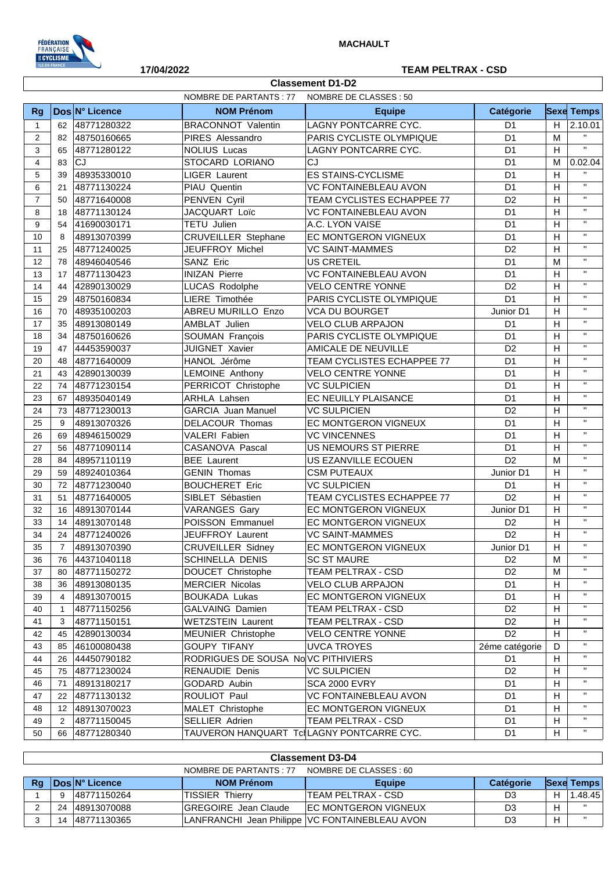

## **17/04/2022 TEAM PELTRAX - CSD**

|                | <b>Classement D1-D2</b>                           |                |                                           |                              |                |                           |                   |  |
|----------------|---------------------------------------------------|----------------|-------------------------------------------|------------------------------|----------------|---------------------------|-------------------|--|
|                | NOMBRE DE PARTANTS : 77<br>NOMBRE DE CLASSES : 50 |                |                                           |                              |                |                           |                   |  |
| <b>Rg</b>      |                                                   | Dos N° Licence | <b>NOM Prénom</b>                         | <b>Equipe</b>                | Catégorie      |                           | <b>Sexe Temps</b> |  |
| $\mathbf{1}$   |                                                   | 62 48771280322 | <b>BRACONNOT Valentin</b>                 | LAGNY PONTCARRE CYC.         | D <sub>1</sub> | H                         | 2.10.01           |  |
| 2              |                                                   | 82 48750160665 | PIRES Alessandro                          | PARIS CYCLISTE OLYMPIQUE     | D <sub>1</sub> |                           | $\mathbf{H}$      |  |
| 3              | 65                                                | 48771280122    | <b>NOLIUS Lucas</b>                       | LAGNY PONTCARRE CYC.         | D <sub>1</sub> | H                         | $\mathbf{u}$      |  |
| $\overline{4}$ | 83                                                | <b>CJ</b>      | STOCARD LORIANO                           | CJ                           | D <sub>1</sub> | M                         | 0.02.04           |  |
| 5              | 39                                                | 48935330010    | LIGER Laurent                             | <b>ES STAINS-CYCLISME</b>    | D <sub>1</sub> | $\boldsymbol{\mathsf{H}}$ | $\mathbf{H}$      |  |
| 6              | 21                                                | 48771130224    | PIAU Quentin                              | <b>VC FONTAINEBLEAU AVON</b> | D <sub>1</sub> | H                         | $\mathbf{H}$      |  |
| $\overline{7}$ | 50                                                | 48771640008    | PENVEN Cyril                              | TEAM CYCLISTES ECHAPPEE 77   | D <sub>2</sub> | H                         | $\mathbf{u}$      |  |
| 8              | 18                                                | 48771130124    | JACQUART Loïc                             | <b>VC FONTAINEBLEAU AVON</b> | D <sub>1</sub> | H                         | $\mathbf{u}$      |  |
| 9              | 54                                                | 41690030171    | TETU Julien                               | A.C. LYON VAISE              | D <sub>1</sub> | H                         | $\mathbf{H}$      |  |
| 10             | 8                                                 | 48913070399    | <b>CRUVEILLER Stephane</b>                | EC MONTGERON VIGNEUX         | D <sub>1</sub> | H                         | $\mathbf{H}$      |  |
| 11             | 25                                                | 48771240025    | JEUFFROY Michel                           | <b>VC SAINT-MAMMES</b>       | D <sub>2</sub> | $\boldsymbol{\mathsf{H}}$ | $\mathbf{H}$      |  |
| 12             | 78                                                | 48946040546    | SANZ Eric                                 | <b>US CRETEIL</b>            | D <sub>1</sub> | M                         | $\mathbf{H}$      |  |
| 13             | 17                                                | 48771130423    | <b>INIZAN Pierre</b>                      | <b>VC FONTAINEBLEAU AVON</b> | D <sub>1</sub> | H                         | $\mathbf{H}$      |  |
| 14             | 44                                                | 42890130029    | LUCAS Rodolphe                            | <b>VELO CENTRE YONNE</b>     | D <sub>2</sub> | H                         | $\mathbf{H}$      |  |
| 15             | 29                                                | 48750160834    | LIERE Timothée                            | PARIS CYCLISTE OLYMPIQUE     | D <sub>1</sub> | H                         | $\mathbf{H}$      |  |
| 16             | 70                                                | 48935100203    | ABREU MURILLO Enzo                        | <b>VCA DU BOURGET</b>        | Junior D1      | H                         | $\mathbf{H}$      |  |
| 17             | 35                                                | 48913080149    | AMBLAT Julien                             | <b>VELO CLUB ARPAJON</b>     | D <sub>1</sub> | H                         | $\mathbf{u}$      |  |
| 18             | 34                                                | 48750160626    | SOUMAN François                           | PARIS CYCLISTE OLYMPIQUE     | D <sub>1</sub> | H                         | $\mathbf{H}$      |  |
| 19             | 47                                                | 44453590037    | <b>JUIGNET Xavier</b>                     | AMICALE DE NEUVILLE          | D <sub>2</sub> | $\mathsf H$               | $\mathbf{H}$      |  |
| 20             | 48                                                | 48771640009    | HANOL Jérôme                              | TEAM CYCLISTES ECHAPPEE 77   | D <sub>1</sub> | H                         | $\mathbf{u}$      |  |
| 21             | 43                                                | 42890130039    | LEMOINE Anthony                           | <b>VELO CENTRE YONNE</b>     | D <sub>1</sub> | H                         | $\mathbf{u}$      |  |
| 22             | 74                                                | 48771230154    | PERRICOT Christophe                       | <b>VC SULPICIEN</b>          | D <sub>1</sub> | $\mathsf H$               | $\mathbf{H}$      |  |
| 23             | 67                                                | 48935040149    | ARHLA Lahsen                              | EC NEUILLY PLAISANCE         | D <sub>1</sub> | H                         | $\mathbf{u}$      |  |
| 24             | 73                                                | 48771230013    | <b>GARCIA Juan Manuel</b>                 | <b>VC SULPICIEN</b>          | D <sub>2</sub> | H                         | $\mathbf{u}$      |  |
| 25             | 9                                                 | 48913070326    | DELACOUR Thomas                           | EC MONTGERON VIGNEUX         | D <sub>1</sub> | $\mathsf H$               | $\mathbf{H}$      |  |
| 26             | 69                                                | 48946150029    | VALERI Fabien                             | <b>VC VINCENNES</b>          | D <sub>1</sub> | H                         | $\mathbf{u}$      |  |
| 27             | 56                                                | 48771090114    | CASANOVA Pascal                           | US NEMOURS ST PIERRE         | D <sub>1</sub> | H                         | $\mathbf{u}$      |  |
| 28             | 84                                                | 48957110119    | <b>BEE</b> Laurent                        | US EZANVILLE ECOUEN          | D <sub>2</sub> | M                         | $\mathbf{H}$      |  |
| 29             | 59                                                | 48924010364    | <b>GENIN Thomas</b>                       | <b>CSM PUTEAUX</b>           | Junior D1      | H                         | $\mathbf{u}$      |  |
| 30             |                                                   | 72 48771230040 | <b>BOUCHERET Eric</b>                     | <b>VC SULPICIEN</b>          | D <sub>1</sub> | H                         | $\mathbf{u}$      |  |
| 31             | 51                                                | 48771640005    | SIBLET Sébastien                          | TEAM CYCLISTES ECHAPPEE 77   | D <sub>2</sub> | H                         | $\mathbf{H}$      |  |
| 32             | 16                                                | 48913070144    | <b>VARANGES Gary</b>                      | EC MONTGERON VIGNEUX         | Junior D1      | H                         | $\mathbf{u}$      |  |
| 33             | 14                                                | 48913070148    | POISSON Emmanuel                          | EC MONTGERON VIGNEUX         | D <sub>2</sub> | H                         | $\mathbf{u}$      |  |
| 34             | 24                                                | 48771240026    | JEUFFROY Laurent                          | <b>VC SAINT-MAMMES</b>       | D <sub>2</sub> | H                         | $\mathbf{H}$      |  |
| 35             | $\overline{7}$                                    | 48913070390    | <b>CRUVEILLER Sidney</b>                  | EC MONTGERON VIGNEUX         | Junior D1      | H                         | $\mathbf{H}$      |  |
| 36             | 76                                                | 44371040118    | SCHINELLA DENIS                           | <b>SC ST MAURE</b>           | D <sub>2</sub> | M                         | $\mathbf{H}$      |  |
| 37             | 80                                                | 48771150272    | DOUCET Christophe                         | TEAM PELTRAX - CSD           | D <sub>2</sub> | M                         | $\mathbf{H}$      |  |
| 38             | 36                                                | 48913080135    | <b>MERCIER Nicolas</b>                    | <b>VELO CLUB ARPAJON</b>     | D <sub>1</sub> | H                         | $\mathbf{H}$      |  |
| 39             | $\overline{4}$                                    | 48913070015    | <b>BOUKADA Lukas</b>                      | EC MONTGERON VIGNEUX         | D <sub>1</sub> | H                         | $\mathbf{H}$      |  |
| 40             | $\mathbf{1}$                                      | 48771150256    | GALVAING Damien                           | TEAM PELTRAX - CSD           | D <sub>2</sub> | H                         | $\mathbf{H}$      |  |
| 41             | 3                                                 | 48771150151    | <b>WETZSTEIN Laurent</b>                  | TEAM PELTRAX - CSD           | D <sub>2</sub> | H                         | $\mathbf{H}$      |  |
| 42             | 45                                                | 42890130034    | MEUNIER Christophe                        | <b>VELO CENTRE YONNE</b>     | D <sub>2</sub> | H                         | $\mathbf{H}$      |  |
| 43             | 85                                                | 46100080438    | <b>GOUPY TIFANY</b>                       | <b>UVCA TROYES</b>           | 2éme catégorie | D                         | $\mathbf{H}$      |  |
| 44             | 26                                                | 44450790182    | RODRIGUES DE SOUSA NoVC PITHIVIERS        |                              | D <sub>1</sub> | H                         | $\mathbf{H}$      |  |
| 45             | 75                                                | 48771230024    | RENAUDIE Denis                            | <b>VC SULPICIEN</b>          | D <sub>2</sub> | H                         | $\mathbf{H}$      |  |
| 46             | 71                                                | 48913180217    | GODARD Aubin                              | <b>SCA 2000 EVRY</b>         | D <sub>1</sub> | H                         | $\mathbf{H}$      |  |
| 47             | 22                                                | 48771130132    | ROULIOT Paul                              | <b>VC FONTAINEBLEAU AVON</b> | D <sub>1</sub> | H                         | $\mathbf{H}$      |  |
| 48             | 12 <sup>2</sup>                                   | 48913070023    | MALET Christophe                          | EC MONTGERON VIGNEUX         | D <sub>1</sub> | H                         | $\mathbf{H}$      |  |
| 49             | $\overline{2}$                                    | 48771150045    | SELLIER Adrien                            | TEAM PELTRAX - CSD           | D <sub>1</sub> | H                         | $\mathbf{H}$      |  |
| 50             | 66                                                | 48771280340    | TAUVERON HANQUART TclLAGNY PONTCARRE CYC. |                              | D <sub>1</sub> | H                         | $\mathbf{H}$      |  |
|                |                                                   |                |                                           |                              |                |                           |                   |  |

|           | <b>Classement D3-D4</b>                           |                        |                             |                                                |                  |  |                   |  |
|-----------|---------------------------------------------------|------------------------|-----------------------------|------------------------------------------------|------------------|--|-------------------|--|
|           | NOMBRE DE PARTANTS : 77<br>NOMBRE DE CLASSES : 60 |                        |                             |                                                |                  |  |                   |  |
| <b>Rg</b> |                                                   | <b>IDosIN° Licence</b> | <b>NOM Prénom</b>           | <b>Equipe</b>                                  | <b>Catégorie</b> |  | <b>Sexe Temps</b> |  |
|           |                                                   | 148771150264           | <b>TISSIER Thierry</b>      | TEAM PELTRAX - CSD                             | D3               |  | 1.48.45           |  |
|           | 24                                                | 48913070088            | <b>GREGOIRE</b> Jean Claude | <b>IEC MONTGERON VIGNEUX</b>                   | D3               |  |                   |  |
|           | 14                                                | 48771130365            |                             | LANFRANCHI Jean Philippe VC FONTAINEBLEAU AVON | D3               |  |                   |  |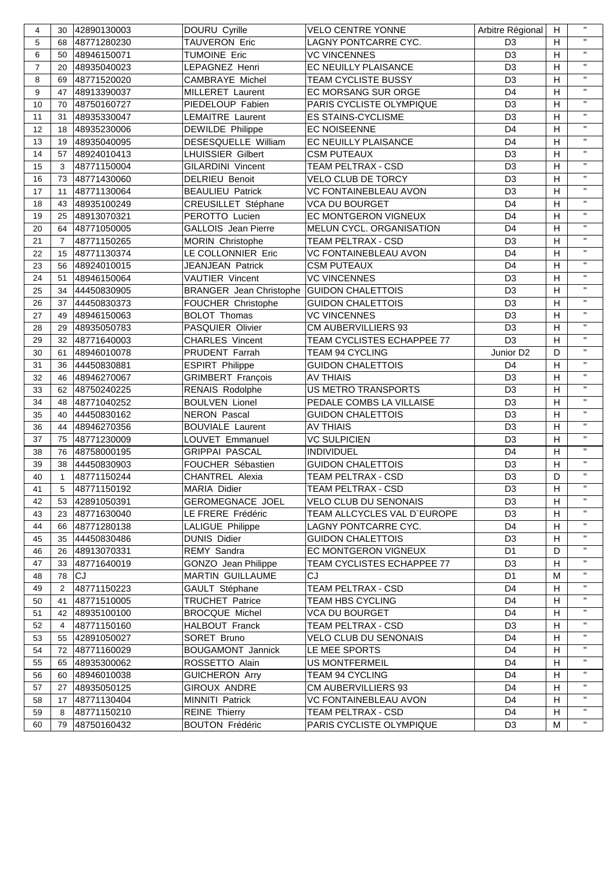| 4              | 30             | 42890130003    | DOURU Cyrille              | <b>VELO CENTRE YONNE</b>              | Arbitre Régional      | H              | $\mathbf{H}$   |
|----------------|----------------|----------------|----------------------------|---------------------------------------|-----------------------|----------------|----------------|
| 5              | 68             | 48771280230    | <b>TAUVERON Eric</b>       | LAGNY PONTCARRE CYC.                  | D <sub>3</sub>        | H.             | $\mathbf{H}$   |
| 6              | 50             | 48946150071    | <b>TUMOINE Eric</b>        | <b>VC VINCENNES</b><br>D <sub>3</sub> |                       | H              | $\mathbf{u}$   |
| $\overline{7}$ | 20             | 48935040023    | LEPAGNEZ Henri             | EC NEUILLY PLAISANCE                  | D <sub>3</sub>        |                | $\mathbf{H}$   |
| 8              | 69             | 48771520020    | CAMBRAYE Michel            | TEAM CYCLISTE BUSSY                   | D <sub>3</sub>        | H              | $\mathbf{u}$   |
| 9              | 47             | 48913390037    | MILLERET Laurent           | EC MORSANG SUR ORGE                   | D <sub>4</sub>        | H              | $\mathbf{H}$   |
| 10             | 70             | 48750160727    | PIEDELOUP Fabien           | PARIS CYCLISTE OLYMPIQUE              | D <sub>3</sub>        | H              | $\mathbf{H}$   |
| 11             | 31             | 48935330047    | <b>LEMAITRE Laurent</b>    | <b>ES STAINS-CYCLISME</b>             | D <sub>3</sub>        | H              | $\mathbf{H}$   |
| 12             | 18             | 48935230006    | DEWILDE Philippe           | <b>EC NOISEENNE</b>                   | D <sub>4</sub>        | H              | $\mathbf{H}$   |
| 13             | 19             | 48935040095    | DESESQUELLE William        | EC NEUILLY PLAISANCE                  | D <sub>4</sub>        |                | $\mathbf{H}$   |
| 14             | 57             | 48924010413    | <b>LHUISSIER Gilbert</b>   | <b>CSM PUTEAUX</b>                    | D <sub>3</sub>        | H              | $\mathbf{H}$   |
| 15             | 3              | 48771150004    | <b>GILARDINI Vincent</b>   | TEAM PELTRAX - CSD                    | D <sub>3</sub>        | H              | $\mathbf{H}$   |
| 16             | 73             | 48771430060    | <b>DELRIEU Benoit</b>      | VELO CLUB DE TORCY                    | D <sub>3</sub>        | H              | $\mathbf{H}$   |
| 17             | 11             | 48771130064    | <b>BEAULIEU Patrick</b>    | <b>VC FONTAINEBLEAU AVON</b>          | D <sub>3</sub>        | H              | $\mathbf{H}$   |
| 18             | 43             | 48935100249    | CREUSILLET Stéphane        | <b>VCA DU BOURGET</b>                 | D <sub>4</sub>        | H              | $\mathbf{H}$   |
| 19             | 25             | 48913070321    | PEROTTO Lucien             | EC MONTGERON VIGNEUX                  | D <sub>4</sub>        | H              | $\mathbf{H}$   |
| 20             | 64             | 48771050005    | <b>GALLOIS</b> Jean Pierre | MELUN CYCL. ORGANISATION              | D <sub>4</sub>        | H              | $\mathbf{H}$   |
| 21             | $\overline{7}$ | 48771150265    | MORIN Christophe           | TEAM PELTRAX - CSD                    | D <sub>3</sub>        | H              | $\mathbf{H}$   |
| 22             | 15             | 48771130374    | LE COLLONNIER Eric         | <b>VC FONTAINEBLEAU AVON</b>          | D <sub>4</sub>        | H              | $\mathbf{H}$   |
| 23             | 56             | 48924010015    | JEANJEAN Patrick           | <b>CSM PUTEAUX</b>                    | D <sub>4</sub>        | H              | $\mathbf{H}$   |
| 24             | 51             | 48946150064    | VAUTIER Vincent            | <b>VC VINCENNES</b>                   | D <sub>3</sub>        | H              | $\mathbf{H}$   |
| 25             | 34             | 44450830905    | BRANGER Jean Christophe    | <b>GUIDON CHALETTOIS</b>              | D <sub>3</sub>        | H              | $\mathbf{H}$   |
| 26             | 37             | 44450830373    | FOUCHER Christophe         | <b>GUIDON CHALETTOIS</b>              | D <sub>3</sub>        | H              | $\mathbf{H}$   |
| 27             | 49             | 48946150063    | <b>BOLOT Thomas</b>        | <b>VC VINCENNES</b>                   | D <sub>3</sub>        | H              | $\mathbf{H}$   |
| 28             | 29             | 48935050783    | PASQUIER Olivier           | CM AUBERVILLIERS 93                   | D <sub>3</sub>        | H              | $\mathbf{H}$   |
| 29             | 32             | 48771640003    | <b>CHARLES Vincent</b>     | TEAM CYCLISTES ECHAPPEE 77            | D <sub>3</sub>        | H              | $\mathbf{H}$   |
| 30             | 61             | 48946010078    | PRUDENT Farrah             | TEAM 94 CYCLING                       | Junior D <sub>2</sub> | D              | $\mathbf{H}$   |
| 31             | 36             | 44450830881    | <b>ESPIRT Philippe</b>     | <b>GUIDON CHALETTOIS</b>              | D <sub>4</sub>        | H              | $\mathbf{H}$   |
| 32             | 46             | 48946270067    | GRIMBERT François          | <b>AV THIAIS</b>                      | D <sub>3</sub>        | H              | $\mathbf{H}$   |
| 33             | 62             | 48750240225    | RENAIS Rodolphe            | US METRO TRANSPORTS                   | D <sub>3</sub>        | H              | $\mathbf{H}$   |
| 34             | 48             | 48771040252    | <b>BOULVEN Lionel</b>      | PEDALE COMBS LA VILLAISE              | D <sub>3</sub>        | H              | $\mathbf{u}$   |
| 35             | 40             | 44450830162    | <b>NERON Pascal</b>        | <b>GUIDON CHALETTOIS</b>              | D <sub>3</sub>        | H              | $\mathbf{H}$   |
| 36             | 44             | 48946270356    | <b>BOUVIALE Laurent</b>    | <b>AV THIAIS</b>                      | D <sub>3</sub>        | H              | $\mathbf{H}$   |
| 37             | 75             | 48771230009    | LOUVET Emmanuel            | <b>VC SULPICIEN</b>                   | D <sub>3</sub>        | H              | $\mathbf{H}$   |
| 38             | 76             | 48758000195    | <b>GRIPPAI PASCAL</b>      | <b>INDIVIDUEL</b>                     | D <sub>4</sub>        | $\mathsf H$    | $\mathbf{H}$   |
| 39             | 38             | 44450830903    | FOUCHER Sébastien          | <b>GUIDON CHALETTOIS</b>              | D <sub>3</sub>        | H              | $\mathbf{H}$   |
| 40             | $\mathbf{1}$   | 48771150244    | <b>CHANTREL Alexia</b>     | TEAM PELTRAX - CSD                    | D <sub>3</sub>        | D              | $\mathbf{u}$   |
| 41             |                | 5 48771150192  | <b>MARIA Didier</b>        | TEAM PELTRAX - CSD                    | D <sub>3</sub>        | $\overline{H}$ | $\mathbf{H}$ . |
| 42             |                | 53 42891050391 | <b>GEROMEGNACE JOEL</b>    | VELO CLUB DU SENONAIS                 | D <sub>3</sub>        | H              | $\mathbf{H}$   |
| 43             |                | 23 48771630040 | LE FRERE Frédéric          | TEAM ALLCYCLES VAL D'EUROPE           | D <sub>3</sub>        | H              | $\mathbf{H}$   |
| 44             |                | 66 48771280138 | LALIGUE Philippe           | LAGNY PONTCARRE CYC.                  | D <sub>4</sub>        | H              | $\mathbf{H}$   |
| 45             |                | 35 44450830486 | <b>DUNIS Didier</b>        | <b>GUIDON CHALETTOIS</b>              | D <sub>3</sub>        | H              | $\mathbf{H}$   |
| 46             |                | 26 48913070331 | REMY Sandra                | EC MONTGERON VIGNEUX                  | D <sub>1</sub>        | D              | $\mathbf{H}$   |
| 47             |                | 33 48771640019 | GONZO Jean Philippe        | TEAM CYCLISTES ECHAPPEE 77            | D <sub>3</sub>        | H              | $\mathbf{H}$   |
| 48             |                | 78 CJ          | <b>MARTIN GUILLAUME</b>    | СJ                                    | D <sub>1</sub>        | M              | $\mathbf{H}$   |
| 49             | $\mathbf{2}$   | 48771150223    | GAULT Stéphane             | TEAM PELTRAX - CSD                    | D <sub>4</sub>        | н              | $\mathbf{H}$   |
| 50             |                | 41 48771510005 | <b>TRUCHET Patrice</b>     | TEAM HBS CYCLING                      | D <sub>4</sub>        | H              | $\mathbf{H}$   |
| 51             |                | 42 48935100100 | <b>BROCQUE Michel</b>      | VCA DU BOURGET                        | D <sub>4</sub>        | н              | $\mathbf{H}$   |
| 52             | 4              | 48771150160    | HALBOUT Franck             | TEAM PELTRAX - CSD                    | D <sub>3</sub>        | н              | $\mathbf{H}$   |
| 53             |                | 55 42891050027 | SORET Bruno                | VELO CLUB DU SENONAIS                 | D <sub>4</sub>        | H              | $\mathbf{H}$   |
| 54             |                |                |                            |                                       |                       |                |                |
| 55             |                | 72 48771160029 | <b>BOUGAMONT Jannick</b>   | LE MEE SPORTS                         | D <sub>4</sub>        | н              | $\mathbf{H}$   |
|                |                | 65 48935300062 | ROSSETTO Alain             | <b>US MONTFERMEIL</b>                 | D <sub>4</sub>        | н              | $\mathbf{H}$   |
| 56             |                | 60 48946010038 | <b>GUICHERON Arry</b>      | TEAM 94 CYCLING                       | D <sub>4</sub>        | H              | $\mathbf{H}$   |
| 57             |                | 27 48935050125 | GIROUX ANDRE               | <b>CM AUBERVILLIERS 93</b>            | D <sub>4</sub>        | н              | $\mathbf{H}$   |
| 58             |                | 17 48771130404 | <b>MINNITI Patrick</b>     | VC FONTAINEBLEAU AVON                 | D <sub>4</sub>        | H              | $\mathbf{H}$   |
| 59             | 8              | 48771150210    | <b>REINE Thierry</b>       | TEAM PELTRAX - CSD                    | D <sub>4</sub>        | H              | $\mathbf{H}$   |